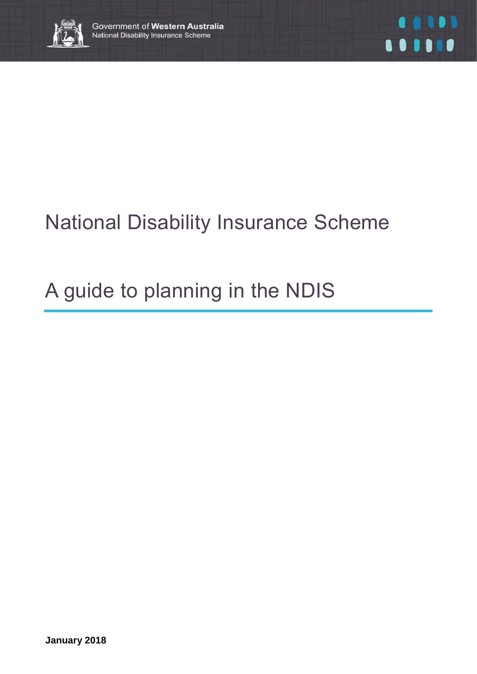

# National Disability Insurance Scheme

# A guide to planning in the NDIS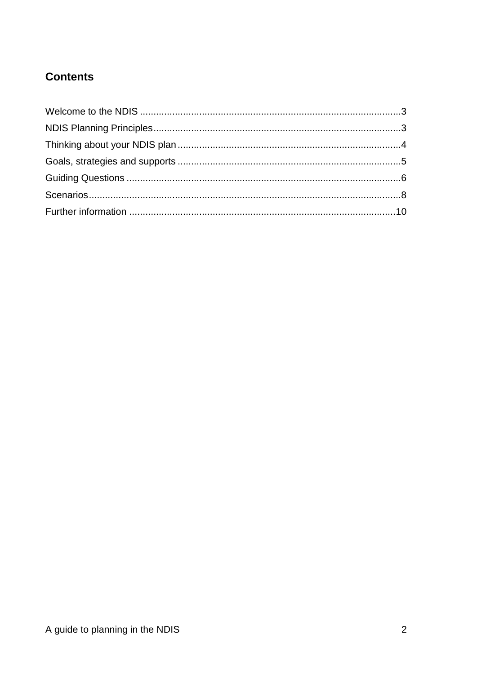## **Contents**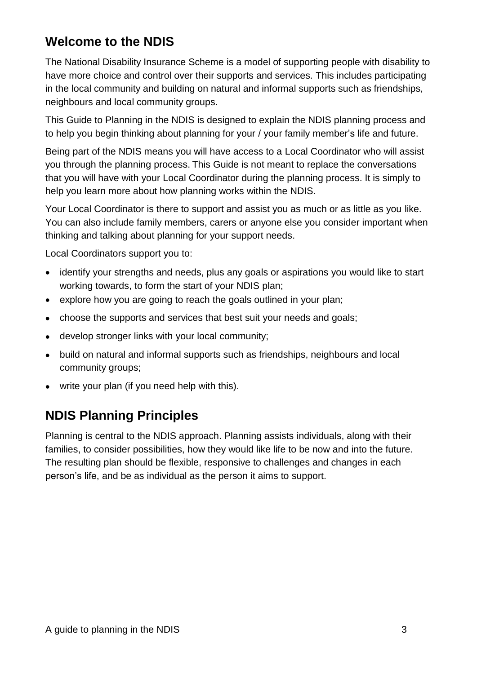# **Welcome to the NDIS**

The National Disability Insurance Scheme is a model of supporting people with disability to have more choice and control over their supports and services. This includes participating in the local community and building on natural and informal supports such as friendships, neighbours and local community groups.

This Guide to Planning in the NDIS is designed to explain the NDIS planning process and to help you begin thinking about planning for your / your family member's life and future.

Being part of the NDIS means you will have access to a Local Coordinator who will assist you through the planning process. This Guide is not meant to replace the conversations that you will have with your Local Coordinator during the planning process. It is simply to help you learn more about how planning works within the NDIS.

Your Local Coordinator is there to support and assist you as much or as little as you like. You can also include family members, carers or anyone else you consider important when thinking and talking about planning for your support needs.

Local Coordinators support you to:

- identify your strengths and needs, plus any goals or aspirations you would like to start working towards, to form the start of your NDIS plan;
- explore how you are going to reach the goals outlined in your plan;
- choose the supports and services that best suit your needs and goals;
- develop stronger links with your local community;
- build on natural and informal supports such as friendships, neighbours and local community groups;
- write your plan (if you need help with this).

# **NDIS Planning Principles**

Planning is central to the NDIS approach. Planning assists individuals, along with their families, to consider possibilities, how they would like life to be now and into the future. The resulting plan should be flexible, responsive to challenges and changes in each person's life, and be as individual as the person it aims to support.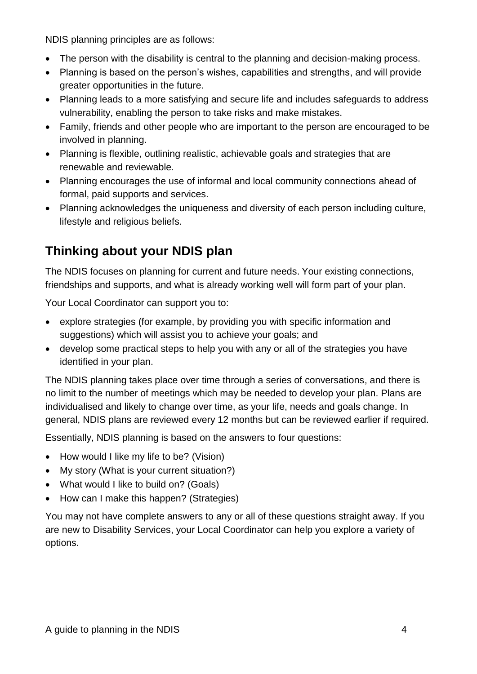NDIS planning principles are as follows:

- The person with the disability is central to the planning and decision-making process.
- Planning is based on the person's wishes, capabilities and strengths, and will provide greater opportunities in the future.
- Planning leads to a more satisfying and secure life and includes safeguards to address vulnerability, enabling the person to take risks and make mistakes.
- Family, friends and other people who are important to the person are encouraged to be involved in planning.
- Planning is flexible, outlining realistic, achievable goals and strategies that are renewable and reviewable.
- Planning encourages the use of informal and local community connections ahead of formal, paid supports and services.
- Planning acknowledges the uniqueness and diversity of each person including culture, lifestyle and religious beliefs.

# **Thinking about your NDIS plan**

The NDIS focuses on planning for current and future needs. Your existing connections, friendships and supports, and what is already working well will form part of your plan.

Your Local Coordinator can support you to:

- explore strategies (for example, by providing you with specific information and suggestions) which will assist you to achieve your goals; and
- develop some practical steps to help you with any or all of the strategies you have identified in your plan.

The NDIS planning takes place over time through a series of conversations, and there is no limit to the number of meetings which may be needed to develop your plan. Plans are individualised and likely to change over time, as your life, needs and goals change. In general, NDIS plans are reviewed every 12 months but can be reviewed earlier if required.

Essentially, NDIS planning is based on the answers to four questions:

- How would I like my life to be? (Vision)
- My story (What is your current situation?)
- What would I like to build on? (Goals)
- How can I make this happen? (Strategies)

You may not have complete answers to any or all of these questions straight away. If you are new to Disability Services, your Local Coordinator can help you explore a variety of options.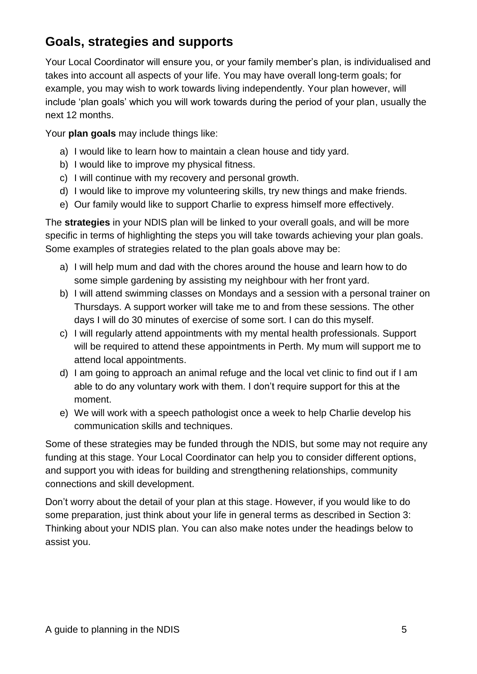# **Goals, strategies and supports**

Your Local Coordinator will ensure you, or your family member's plan, is individualised and takes into account all aspects of your life. You may have overall long-term goals; for example, you may wish to work towards living independently. Your plan however, will include 'plan goals' which you will work towards during the period of your plan, usually the next 12 months.

Your **plan goals** may include things like:

- a) I would like to learn how to maintain a clean house and tidy yard.
- b) I would like to improve my physical fitness.
- c) I will continue with my recovery and personal growth.
- d) I would like to improve my volunteering skills, try new things and make friends.
- e) Our family would like to support Charlie to express himself more effectively.

The **strategies** in your NDIS plan will be linked to your overall goals, and will be more specific in terms of highlighting the steps you will take towards achieving your plan goals. Some examples of strategies related to the plan goals above may be:

- a) I will help mum and dad with the chores around the house and learn how to do some simple gardening by assisting my neighbour with her front yard.
- b) I will attend swimming classes on Mondays and a session with a personal trainer on Thursdays. A support worker will take me to and from these sessions. The other days I will do 30 minutes of exercise of some sort. I can do this myself.
- c) I will regularly attend appointments with my mental health professionals. Support will be required to attend these appointments in Perth. My mum will support me to attend local appointments.
- d) I am going to approach an animal refuge and the local vet clinic to find out if I am able to do any voluntary work with them. I don't require support for this at the moment.
- e) We will work with a speech pathologist once a week to help Charlie develop his communication skills and techniques.

Some of these strategies may be funded through the NDIS, but some may not require any funding at this stage. Your Local Coordinator can help you to consider different options, and support you with ideas for building and strengthening relationships, community connections and skill development.

Don't worry about the detail of your plan at this stage. However, if you would like to do some preparation, just think about your life in general terms as described in Section 3: Thinking about your NDIS plan. You can also make notes under the headings below to assist you.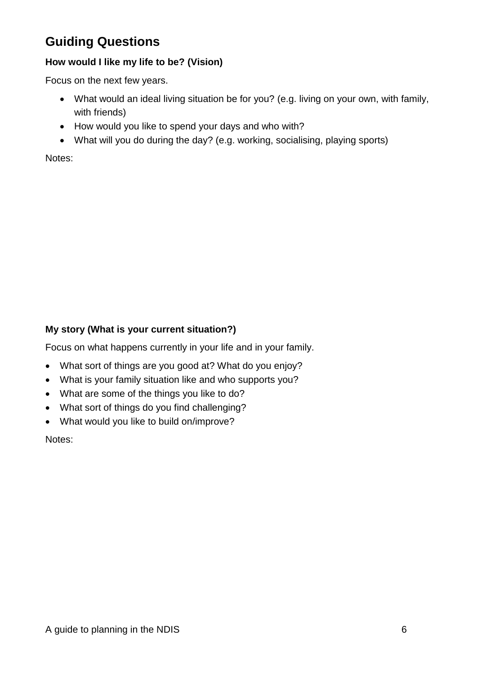# **Guiding Questions**

#### **How would I like my life to be? (Vision)**

Focus on the next few years.

- What would an ideal living situation be for you? (e.g. living on your own, with family, with friends)
- How would you like to spend your days and who with?
- What will you do during the day? (e.g. working, socialising, playing sports)

Notes:

## **My story (What is your current situation?)**

Focus on what happens currently in your life and in your family.

- What sort of things are you good at? What do you enjoy?
- What is your family situation like and who supports you?
- What are some of the things you like to do?
- What sort of things do you find challenging?
- What would you like to build on/improve?

Notes: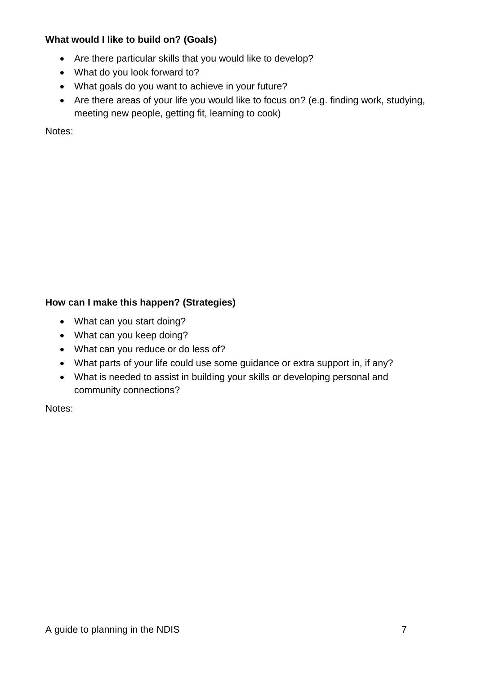#### **What would I like to build on? (Goals)**

- Are there particular skills that you would like to develop?
- What do you look forward to?
- What goals do you want to achieve in your future?
- Are there areas of your life you would like to focus on? (e.g. finding work, studying, meeting new people, getting fit, learning to cook)

Notes:

## **How can I make this happen? (Strategies)**

- What can you start doing?
- What can you keep doing?
- What can you reduce or do less of?
- What parts of your life could use some guidance or extra support in, if any?
- What is needed to assist in building your skills or developing personal and community connections?

Notes: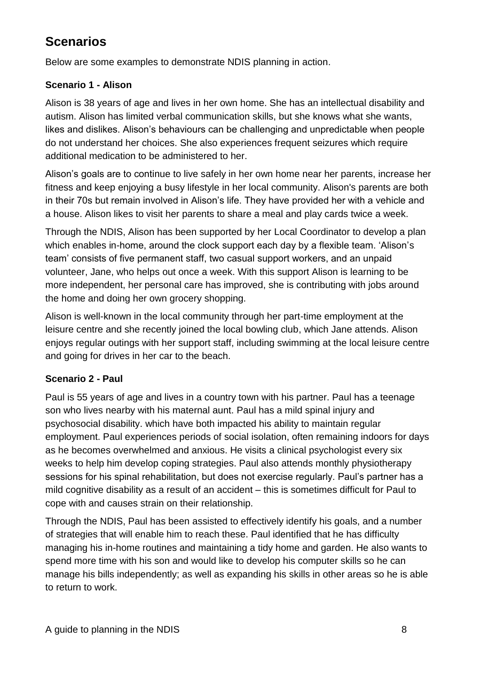# **Scenarios**

Below are some examples to demonstrate NDIS planning in action.

## **Scenario 1 - Alison**

Alison is 38 years of age and lives in her own home. She has an intellectual disability and autism. Alison has limited verbal communication skills, but she knows what she wants, likes and dislikes. Alison's behaviours can be challenging and unpredictable when people do not understand her choices. She also experiences frequent seizures which require additional medication to be administered to her.

Alison's goals are to continue to live safely in her own home near her parents, increase her fitness and keep enjoying a busy lifestyle in her local community. Alison's parents are both in their 70s but remain involved in Alison's life. They have provided her with a vehicle and a house. Alison likes to visit her parents to share a meal and play cards twice a week.

Through the NDIS, Alison has been supported by her Local Coordinator to develop a plan which enables in-home, around the clock support each day by a flexible team. 'Alison's team' consists of five permanent staff, two casual support workers, and an unpaid volunteer, Jane, who helps out once a week. With this support Alison is learning to be more independent, her personal care has improved, she is contributing with jobs around the home and doing her own grocery shopping.

Alison is well-known in the local community through her part-time employment at the leisure centre and she recently joined the local bowling club, which Jane attends. Alison enjoys regular outings with her support staff, including swimming at the local leisure centre and going for drives in her car to the beach.

## **Scenario 2 - Paul**

Paul is 55 years of age and lives in a country town with his partner. Paul has a teenage son who lives nearby with his maternal aunt. Paul has a mild spinal injury and psychosocial disability. which have both impacted his ability to maintain regular employment. Paul experiences periods of social isolation, often remaining indoors for days as he becomes overwhelmed and anxious. He visits a clinical psychologist every six weeks to help him develop coping strategies. Paul also attends monthly physiotherapy sessions for his spinal rehabilitation, but does not exercise regularly. Paul's partner has a mild cognitive disability as a result of an accident – this is sometimes difficult for Paul to cope with and causes strain on their relationship.

Through the NDIS, Paul has been assisted to effectively identify his goals, and a number of strategies that will enable him to reach these. Paul identified that he has difficulty managing his in-home routines and maintaining a tidy home and garden. He also wants to spend more time with his son and would like to develop his computer skills so he can manage his bills independently; as well as expanding his skills in other areas so he is able to return to work.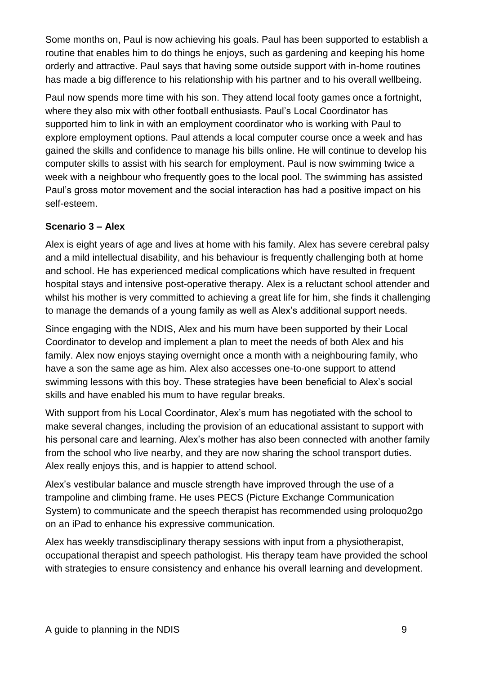Some months on, Paul is now achieving his goals. Paul has been supported to establish a routine that enables him to do things he enjoys, such as gardening and keeping his home orderly and attractive. Paul says that having some outside support with in-home routines has made a big difference to his relationship with his partner and to his overall wellbeing.

Paul now spends more time with his son. They attend local footy games once a fortnight, where they also mix with other football enthusiasts. Paul's Local Coordinator has supported him to link in with an employment coordinator who is working with Paul to explore employment options. Paul attends a local computer course once a week and has gained the skills and confidence to manage his bills online. He will continue to develop his computer skills to assist with his search for employment. Paul is now swimming twice a week with a neighbour who frequently goes to the local pool. The swimming has assisted Paul's gross motor movement and the social interaction has had a positive impact on his self-esteem.

## **Scenario 3 – Alex**

Alex is eight years of age and lives at home with his family. Alex has severe cerebral palsy and a mild intellectual disability, and his behaviour is frequently challenging both at home and school. He has experienced medical complications which have resulted in frequent hospital stays and intensive post-operative therapy. Alex is a reluctant school attender and whilst his mother is very committed to achieving a great life for him, she finds it challenging to manage the demands of a young family as well as Alex's additional support needs.

Since engaging with the NDIS, Alex and his mum have been supported by their Local Coordinator to develop and implement a plan to meet the needs of both Alex and his family. Alex now enjoys staying overnight once a month with a neighbouring family, who have a son the same age as him. Alex also accesses one-to-one support to attend swimming lessons with this boy. These strategies have been beneficial to Alex's social skills and have enabled his mum to have regular breaks.

With support from his Local Coordinator, Alex's mum has negotiated with the school to make several changes, including the provision of an educational assistant to support with his personal care and learning. Alex's mother has also been connected with another family from the school who live nearby, and they are now sharing the school transport duties. Alex really enjoys this, and is happier to attend school.

Alex's vestibular balance and muscle strength have improved through the use of a trampoline and climbing frame. He uses PECS (Picture Exchange Communication System) to communicate and the speech therapist has recommended using proloquo2go on an iPad to enhance his expressive communication.

Alex has weekly transdisciplinary therapy sessions with input from a physiotherapist, occupational therapist and speech pathologist. His therapy team have provided the school with strategies to ensure consistency and enhance his overall learning and development.